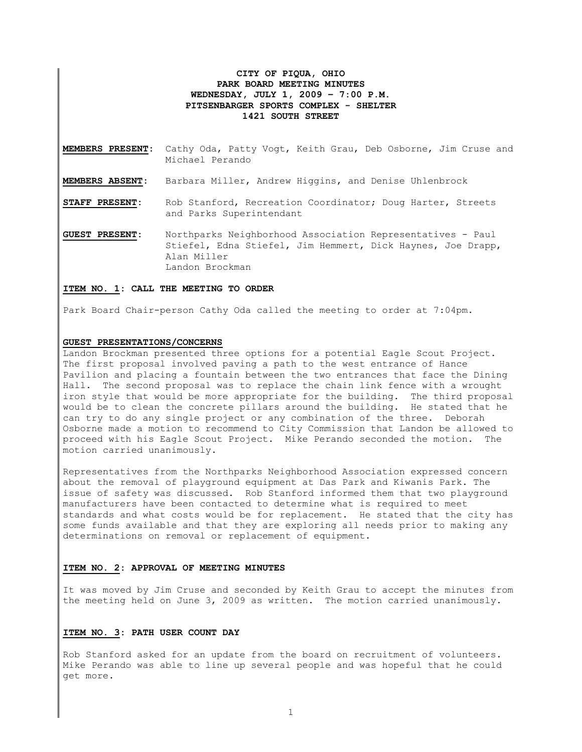# **CITY OF PIQUA, OHIO PARK BOARD MEETING MINUTES WEDNESDAY, JULY 1, 2009 – 7:00 P.M. PITSENBARGER SPORTS COMPLEX - SHELTER 1421 SOUTH STREET**

- **MEMBERS PRESENT:** Cathy Oda, Patty Vogt, Keith Grau, Deb Osborne, Jim Cruse and Michael Perando
- **MEMBERS ABSENT:** Barbara Miller, Andrew Higgins, and Denise Uhlenbrock
- **STAFF PRESENT:** Rob Stanford, Recreation Coordinator; Doug Harter, Streets and Parks Superintendant

**GUEST PRESENT:** Northparks Neighborhood Association Representatives - Paul Stiefel, Edna Stiefel, Jim Hemmert, Dick Haynes, Joe Drapp, Alan Miller Landon Brockman

## **ITEM NO. 1: CALL THE MEETING TO ORDER**

Park Board Chair-person Cathy Oda called the meeting to order at 7:04pm.

#### **GUEST PRESENTATIONS/CONCERNS**

Landon Brockman presented three options for a potential Eagle Scout Project. The first proposal involved paving a path to the west entrance of Hance Pavilion and placing a fountain between the two entrances that face the Dining Hall. The second proposal was to replace the chain link fence with a wrought iron style that would be more appropriate for the building. The third proposal would be to clean the concrete pillars around the building. He stated that he can try to do any single project or any combination of the three. Deborah Osborne made a motion to recommend to City Commission that Landon be allowed to proceed with his Eagle Scout Project. Mike Perando seconded the motion. The motion carried unanimously.

Representatives from the Northparks Neighborhood Association expressed concern about the removal of playground equipment at Das Park and Kiwanis Park. The issue of safety was discussed. Rob Stanford informed them that two playground manufacturers have been contacted to determine what is required to meet standards and what costs would be for replacement. He stated that the city has some funds available and that they are exploring all needs prior to making any determinations on removal or replacement of equipment.

### **ITEM NO. 2: APPROVAL OF MEETING MINUTES**

It was moved by Jim Cruse and seconded by Keith Grau to accept the minutes from the meeting held on June 3, 2009 as written. The motion carried unanimously.

# **ITEM NO. 3: PATH USER COUNT DAY**

Rob Stanford asked for an update from the board on recruitment of volunteers. Mike Perando was able to line up several people and was hopeful that he could get more.